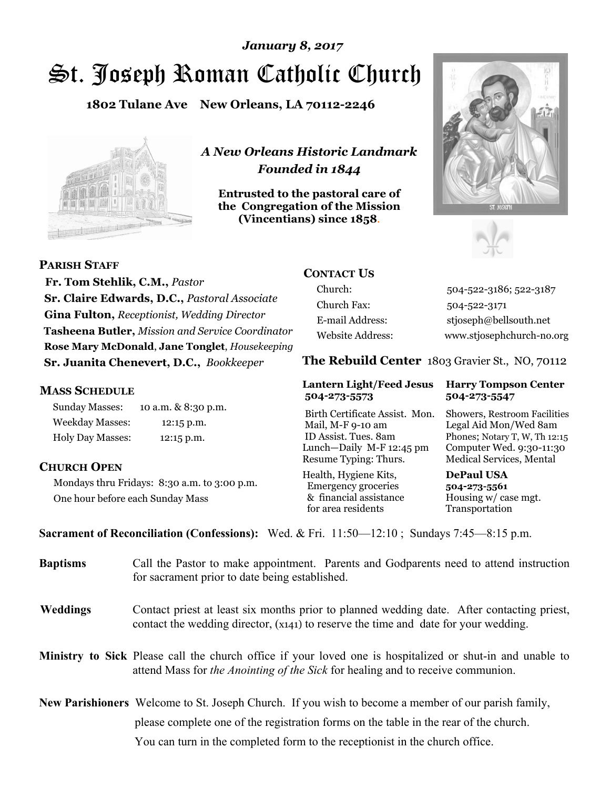# St. Joseph Roman Catholic Church *January 8, 2017*

**1802 Tulane Ave New Orleans, LA 70112-2246**



*A New Orleans Historic Landmark Founded in 1844* 

**Entrusted to the pastoral care of the Congregation of the Mission (Vincentians) since 1858**.





**PARISH STAFF Fr. Tom Stehlik, C.M.,** *Pastor* 

**Sr. Claire Edwards, D.C.,** *Pastoral Associate* **Gina Fulton,** *Receptionist, Wedding Director* **Tasheena Butler,** *Mission and Service Coordinator* **Rose Mary McDonald**, **Jane Tonglet**, *Housekeeping* **Sr. Juanita Chenevert, D.C.,** *Bookkeeper* 

#### **MASS SCHEDULE**

Sunday Masses: 10 a.m. & 8:30 p.m. Weekday Masses: 12:15 p.m. Holy Day Masses: 12:15 p.m.

#### **CHURCH OPEN**

Mondays thru Fridays: 8:30 a.m. to 3:00 p.m. One hour before each Sunday Mass

# **CONTACT US**

Church: 504-522-3186; 522-3187 Church Fax: 504-522-3171 E-mail Address: stjoseph@bellsouth.net Website Address: www.stjosephchurch-no.org

**The Rebuild Center** 1803 Gravier St., NO, 70112

#### **Lantern Light/Feed Jesus Harry Tompson Center 504-273-5573 504-273-5547**

Birth Certificate Assist. Mon. Showers, Restroom Facilities Mail, M-F 9-10 am Legal Aid Mon/Wed 8am ID Assist. Tues. 8am Phones; Notary T, W, Th 12:15 Lunch—Daily M-F 12:45 pm Computer Wed. 9:30-11:30 Resume Typing: Thurs. Medical Services, Mental

Health, Hygiene Kits, **DePaul USA**  Emergency groceries **504-273-5561** & financial assistance Housing w/ case mgt.<br>for area residents Transportation for area residents

**Sacrament of Reconciliation (Confessions):** Wed. & Fri. 11:50—12:10 ; Sundays 7:45—8:15 p.m.

| <b>Baptisms</b> | Call the Pastor to make appointment. Parents and Godparents need to attend instruction<br>for sacrament prior to date being established.                                                            |
|-----------------|-----------------------------------------------------------------------------------------------------------------------------------------------------------------------------------------------------|
| <b>Weddings</b> | Contact priest at least six months prior to planned wedding date. After contacting priest,<br>contact the wedding director, (x141) to reserve the time and date for your wedding.                   |
|                 | Ministry to Sick Please call the church office if your loved one is hospitalized or shut-in and unable to<br>attend Mass for <i>the Anointing of the Sick</i> for healing and to receive communion. |
|                 | New Parishioners Welcome to St. Joseph Church. If you wish to become a member of our parish family,                                                                                                 |
|                 | please complete one of the registration forms on the table in the rear of the church.                                                                                                               |
|                 | You can turn in the completed form to the reception is the church office.                                                                                                                           |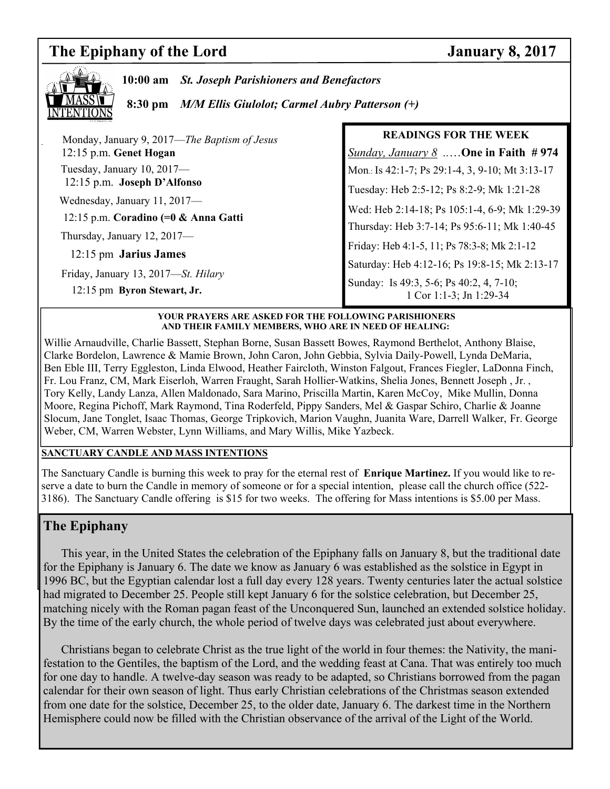# **The Epiphany of the Lord January 8, 2017**



**10:00 am** *St. Joseph Parishioners and Benefactors*

 **8:30 pm** *M/M Ellis Giulolot; Carmel Aubry Patterson (+)*

|  | Monday, January 9, 2017—The Baptism of Jesus | <b>READINGS FOR THE WEEK</b>                                       |
|--|----------------------------------------------|--------------------------------------------------------------------|
|  | 12:15 p.m. Genet Hogan                       | <b>Sunday, January 8</b> One in Faith #974                         |
|  | Tuesday, January 10, 2017-                   | Mon.: Is 42:1-7; Ps 29:1-4, 3, 9-10; Mt 3:13-17                    |
|  | 12:15 p.m. Joseph D'Alfonso                  | Tuesday: Heb 2:5-12; Ps 8:2-9; Mk 1:21-28                          |
|  | Wednesday, January 11, 2017-                 | Wed: Heb 2:14-18; Ps 105:1-4, 6-9; Mk 1:29-39                      |
|  | 12:15 p.m. Coradino (=0 & Anna Gatti         | Thursday: Heb 3:7-14; Ps 95:6-11; Mk 1:40-45                       |
|  | Thursday, January $12, 2017$ —               | Friday: Heb 4:1-5, 11; Ps 78:3-8; Mk 2:1-12                        |
|  | 12:15 pm Jarius James                        | Saturday: Heb 4:12-16; Ps 19:8-15; Mk 2:13-17                      |
|  | Friday, January 13, 2017-St. Hilary          |                                                                    |
|  | 12:15 pm Byron Stewart, Jr.                  | Sunday: Is 49:3, 5-6; Ps 40:2, 4, 7-10;<br>1 Cor 1:1-3; Jn 1:29-34 |
|  |                                              |                                                                    |

#### **YOUR PRAYERS ARE ASKED FOR THE FOLLOWING PARISHIONERS AND THEIR FAMILY MEMBERS, WHO ARE IN NEED OF HEALING:**

Willie Arnaudville, Charlie Bassett, Stephan Borne, Susan Bassett Bowes, Raymond Berthelot, Anthony Blaise, Clarke Bordelon, Lawrence & Mamie Brown, John Caron, John Gebbia, Sylvia Daily-Powell, Lynda DeMaria, Ben Eble III, Terry Eggleston, Linda Elwood, Heather Faircloth, Winston Falgout, Frances Fiegler, LaDonna Finch, Fr. Lou Franz, CM, Mark Eiserloh, Warren Fraught, Sarah Hollier-Watkins, Shelia Jones, Bennett Joseph , Jr. , Tory Kelly, Landy Lanza, Allen Maldonado, Sara Marino, Priscilla Martin, Karen McCoy, Mike Mullin, Donna Moore, Regina Pichoff, Mark Raymond, Tina Roderfeld, Pippy Sanders, Mel & Gaspar Schiro, Charlie & Joanne Slocum, Jane Tonglet, Isaac Thomas, George Tripkovich, Marion Vaughn, Juanita Ware, Darrell Walker, Fr. George Weber, CM, Warren Webster, Lynn Williams, and Mary Willis, Mike Yazbeck.

#### **SANCTUARY CANDLE AND MASS INTENTIONS**

The Sanctuary Candle is burning this week to pray for the eternal rest of **Enrique Martinez.** If you would like to reserve a date to burn the Candle in memory of someone or for a special intention, please call the church office (522- 3186). The Sanctuary Candle offering is \$15 for two weeks. The offering for Mass intentions is \$5.00 per Mass.

# **The Epiphany**

 This year, in the United States the celebration of the Epiphany falls on January 8, but the traditional date for the Epiphany is January 6. The date we know as January 6 was established as the solstice in Egypt in 1996 BC, but the Egyptian calendar lost a full day every 128 years. Twenty centuries later the actual solstice had migrated to December 25. People still kept January 6 for the solstice celebration, but December 25, matching nicely with the Roman pagan feast of the Unconquered Sun, launched an extended solstice holiday. By the time of the early church, the whole period of twelve days was celebrated just about everywhere.

 Christians began to celebrate Christ as the true light of the world in four themes: the Nativity, the manifestation to the Gentiles, the baptism of the Lord, and the wedding feast at Cana. That was entirely too much for one day to handle. A twelve-day season was ready to be adapted, so Christians borrowed from the pagan calendar for their own season of light. Thus early Christian celebrations of the Christmas season extended from one date for the solstice, December 25, to the older date, January 6. The darkest time in the Northern Hemisphere could now be filled with the Christian observance of the arrival of the Light of the World.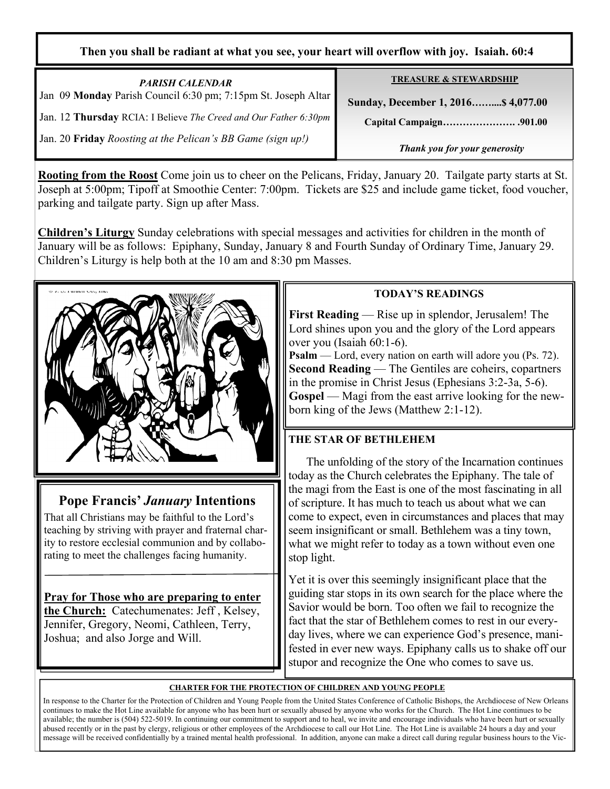### **Then you shall be radiant at what you see, your heart will overflow with joy. Isaiah. 60:4**

| <b>PARISH CALENDAR</b>                                           | <b>TREASURE &amp; STEWARDSHIP</b>   |
|------------------------------------------------------------------|-------------------------------------|
| Jan 09 Monday Parish Council 6:30 pm; 7:15pm St. Joseph Altar    | Sunday, December 1, 2016 \$4,077.00 |
| Jan. 12 Thursday RCIA: I Believe The Creed and Our Father 6:30pm |                                     |
| Jan. 20 Friday Roosting at the Pelican's BB Game (sign up!)      | Thank you for your generosity       |

**Rooting from the Roost** Come join us to cheer on the Pelicans, Friday, January 20. Tailgate party starts at St. Joseph at 5:00pm; Tipoff at Smoothie Center: 7:00pm. Tickets are \$25 and include game ticket, food voucher, parking and tailgate party. Sign up after Mass.

**Children's Liturgy** Sunday celebrations with special messages and activities for children in the month of January will be as follows: Epiphany, Sunday, January 8 and Fourth Sunday of Ordinary Time, January 29. Children's Liturgy is help both at the 10 am and 8:30 pm Masses.



# **Pope Francis'** *January* **Intentions**

That all Christians may be faithful to the Lord's teaching by striving with prayer and fraternal charity to restore ecclesial communion and by collaborating to meet the challenges facing humanity.

**Pray for Those who are preparing to enter the Church:** Catechumenates: Jeff , Kelsey, Jennifer, Gregory, Neomi, Cathleen, Terry, Joshua; and also Jorge and Will.

# **TODAY'S READINGS**

**First Reading** — Rise up in splendor, Jerusalem! The Lord shines upon you and the glory of the Lord appears over you (Isaiah 60:1-6).

**Psalm** — Lord, every nation on earth will adore you (Ps. 72). **Second Reading** — The Gentiles are coheirs, copartners in the promise in Christ Jesus (Ephesians 3:2-3a, 5-6). **Gospel** — Magi from the east arrive looking for the newborn king of the Jews (Matthew 2:1-12).

# **THE STAR OF BETHLEHEM**

 The unfolding of the story of the Incarnation continues today as the Church celebrates the Epiphany. The tale of the magi from the East is one of the most fascinating in all of scripture. It has much to teach us about what we can come to expect, even in circumstances and places that may seem insignificant or small. Bethlehem was a tiny town, what we might refer to today as a town without even one stop light.

Yet it is over this seemingly insignificant place that the guiding star stops in its own search for the place where the Savior would be born. Too often we fail to recognize the fact that the star of Bethlehem comes to rest in our everyday lives, where we can experience God's presence, manifested in ever new ways. Epiphany calls us to shake off our stupor and recognize the One who comes to save us.

### **CHARTER FOR THE PROTECTION OF CHILDREN AND YOUNG PEOPLE**

In response to the Charter for the Protection of Children and Young People from the United States Conference of Catholic Bishops, the Archdiocese of New Orleans continues to make the Hot Line available for anyone who has been hurt or sexually abused by anyone who works for the Church. The Hot Line continues to be available; the number is (504) 522-5019. In continuing our commitment to support and to heal, we invite and encourage individuals who have been hurt or sexually abused recently or in the past by clergy, religious or other employees of the Archdiocese to call our Hot Line. The Hot Line is available 24 hours a day and your message will be received confidentially by a trained mental health professional. In addition, anyone can make a direct call during regular business hours to the Vic-